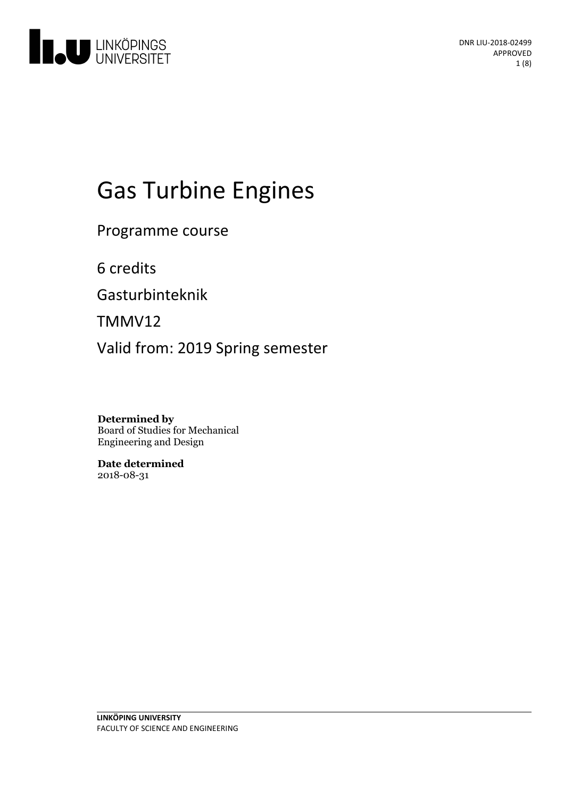

# Gas Turbine Engines

Programme course

6 credits

Gasturbinteknik

TMMV12

Valid from: 2019 Spring semester

**Determined by** Board of Studies for Mechanical Engineering and Design

**Date determined** 2018-08-31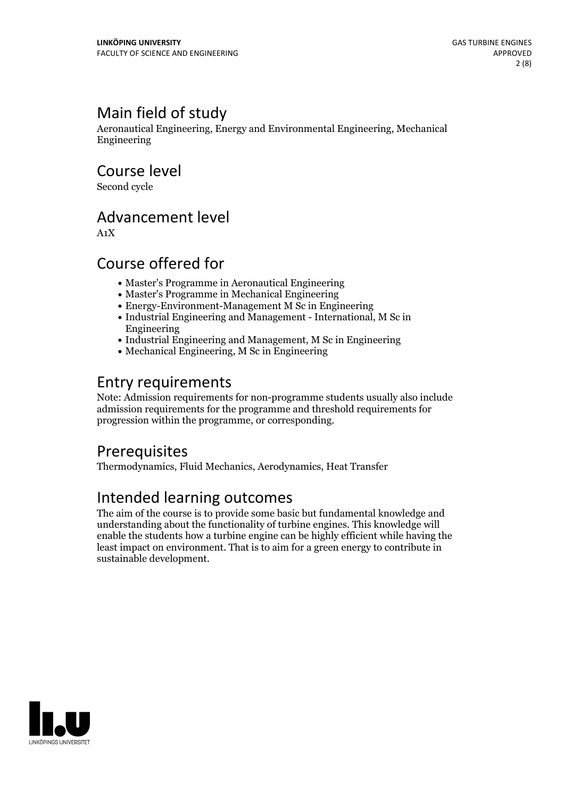# Main field of study

Aeronautical Engineering, Energy and Environmental Engineering, Mechanical Engineering

Course level

Second cycle

# Advancement level

A1X

# Course offered for

- Master's Programme in Aeronautical Engineering
- Master's Programme in Mechanical Engineering
- Energy-Environment-Management M Sc in Engineering
- Industrial Engineering and Management International, M Sc in Engineering
- Industrial Engineering and Management, M Sc in Engineering
- Mechanical Engineering, M Sc in Engineering

# Entry requirements

Note: Admission requirements for non-programme students usually also include admission requirements for the programme and threshold requirements for progression within the programme, or corresponding.

### **Prerequisites**

Thermodynamics, Fluid Mechanics, Aerodynamics, Heat Transfer

# Intended learning outcomes

The aim of the course is to provide some basic but fundamental knowledge and understanding about the functionality of turbine engines. This knowledge will enable the students how a turbine engine can be highly efficient while having the least impact on environment. That is to aim for a green energy to contribute in sustainable development.

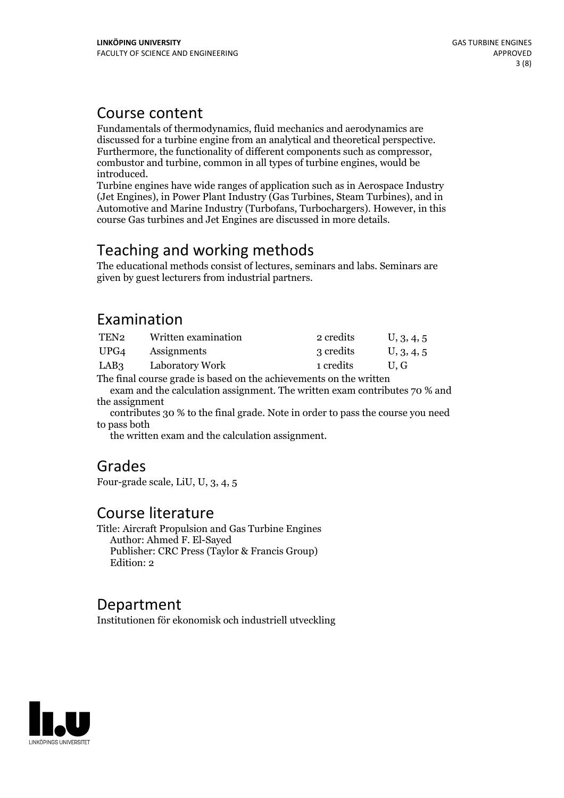### Course content

Fundamentals of thermodynamics, fluid mechanics and aerodynamics are discussed for a turbine engine from an analytical and theoretical perspective.<br>Furthermore, the functionality of different components such as compressor,<br>combustor and turbine, common in all types of turbine engines, would introduced.<br>Turbine engines have wide ranges of application such as in Aerospace Industry

(Jet Engines), in Power Plant Industry (Gas Turbines, Steam Turbines), and in Automotive and Marine Industry (Turbofans, Turbochargers). However, in this course Gas turbines and Jet Engines are discussed in more details.

# Teaching and working methods

The educational methods consist of lectures, seminars and labs. Seminars are given by guest lecturers from industrial partners.

# Examination

| TEN2       | Written examination                        | 2 credits | U, 3, 4, 5 |
|------------|--------------------------------------------|-----------|------------|
| UPG4       | Assignments                                | 3 credits | U, 3, 4, 5 |
| LAB3       | Laboratory Work                            | 1 credits | U.G        |
| $m \sim 1$ | $\mathbf{1}$ , $\mathbf{1}$ , $\mathbf{1}$ |           |            |

The final course grade is based on the achievements on the written exam and the calculation assignment. The written exam contributes 70 % and the assignment

contributes 30 % to the final grade. Note in order to pass the course you need to pass both

the written exam and the calculation assignment.

### Grades

Four-grade scale, LiU, U, 3, 4, 5

### Course literature

Title: Aircraft Propulsion and Gas Turbine Engines Author: Ahmed F. El-Sayed Publisher: CRC Press (Taylor & Francis Group) Edition: 2

### Department

Institutionen för ekonomisk och industriell utveckling

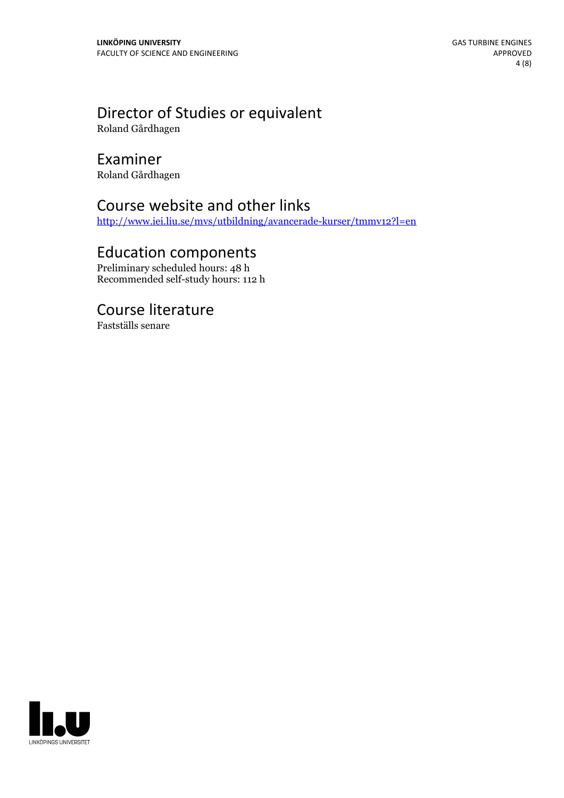# Director of Studies or equivalent

Roland Gårdhagen

### Examiner

Roland Gårdhagen

# Course website and other links

<http://www.iei.liu.se/mvs/utbildning/avancerade-kurser/tmmv12?l=en>

### Education components

Preliminary scheduled hours: 48 h Recommended self-study hours: 112 h

### Course literature

Fastställs senare

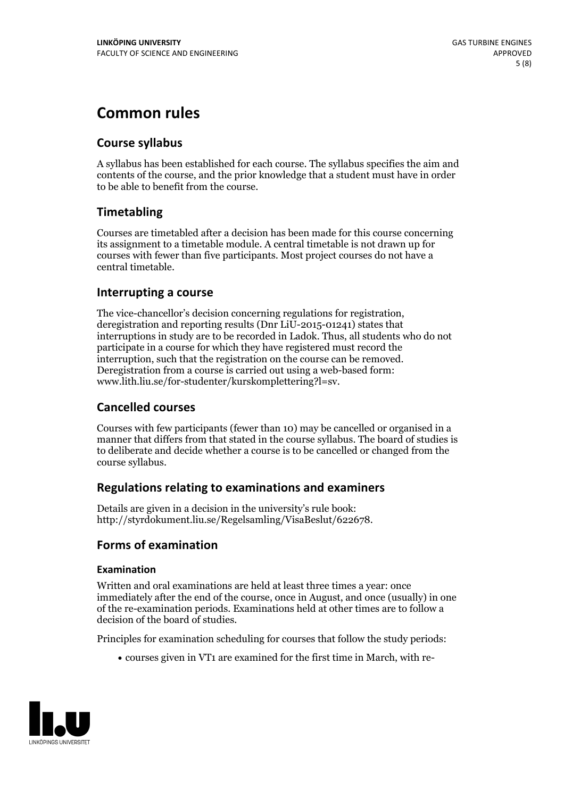# **Common rules**

### **Course syllabus**

A syllabus has been established for each course. The syllabus specifies the aim and contents of the course, and the prior knowledge that a student must have in order to be able to benefit from the course.

### **Timetabling**

Courses are timetabled after a decision has been made for this course concerning its assignment to a timetable module. A central timetable is not drawn up for courses with fewer than five participants. Most project courses do not have a central timetable.

### **Interrupting a course**

The vice-chancellor's decision concerning regulations for registration, deregistration and reporting results (Dnr LiU-2015-01241) states that interruptions in study are to be recorded in Ladok. Thus, all students who do not participate in a course for which they have registered must record the interruption, such that the registration on the course can be removed. Deregistration from <sup>a</sup> course is carried outusing <sup>a</sup> web-based form: www.lith.liu.se/for-studenter/kurskomplettering?l=sv.

### **Cancelled courses**

Courses with few participants (fewer than 10) may be cancelled or organised in a manner that differs from that stated in the course syllabus. The board of studies is to deliberate and decide whether a course is to be cancelled orchanged from the course syllabus.

### **Regulations relatingto examinations and examiners**

Details are given in a decision in the university's rule book: http://styrdokument.liu.se/Regelsamling/VisaBeslut/622678.

### **Forms of examination**

### **Examination**

Written and oral examinations are held at least three times a year: once immediately after the end of the course, once in August, and once (usually) in one of the re-examination periods. Examinations held at other times are to follow a decision of the board of studies.

Principles for examination scheduling for courses that follow the study periods:

courses given in VT1 are examined for the first time in March, with re-

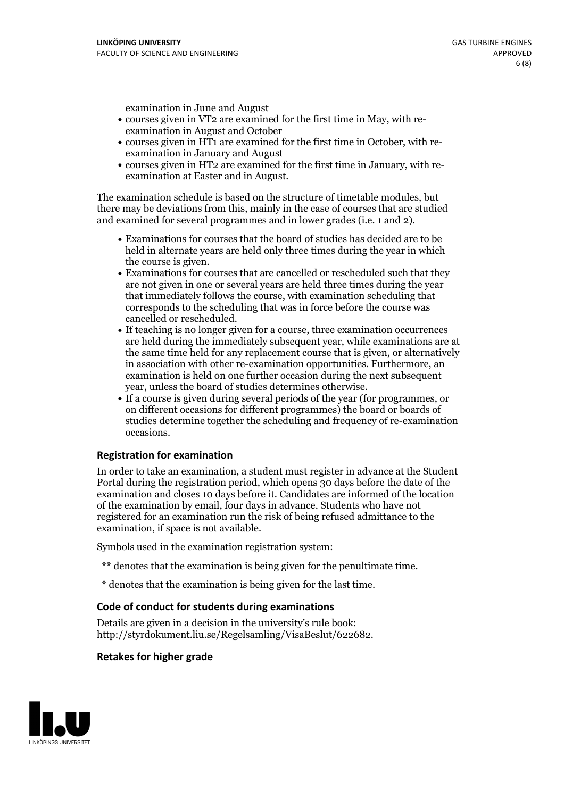examination in June and August

- courses given in VT2 are examined for the first time in May, with re-examination in August and October
- courses given in HT1 are examined for the first time in October, with re-examination in January and August
- courses given in HT2 are examined for the first time in January, with re-examination at Easter and in August.

The examination schedule is based on the structure of timetable modules, but there may be deviations from this, mainly in the case of courses that are studied and examined for several programmes and in lower grades (i.e. 1 and 2).

- Examinations for courses that the board of studies has decided are to be held in alternate years are held only three times during the year in which
- the course is given.<br>• Examinations for courses that are cancelled or rescheduled such that they are not given in one or several years are held three times during the year that immediately follows the course, with examination scheduling that corresponds to the scheduling that was in force before the course was cancelled or rescheduled.<br>• If teaching is no longer given for a course, three examination occurrences
- are held during the immediately subsequent year, while examinations are at the same time held for any replacement course that is given, or alternatively in association with other re-examination opportunities. Furthermore, an examination is held on one further occasion during the next subsequent year, unless the board of studies determines otherwise.<br>• If a course is given during several periods of the year (for programmes, or
- on different occasions for different programmes) the board orboards of studies determine together the scheduling and frequency of re-examination occasions.

### **Registration for examination**

In order to take an examination, a student must register in advance at the Student Portal during the registration period, which opens 30 days before the date of the examination and closes 10 days before it. Candidates are informed of the location of the examination by email, four days in advance. Students who have not registered for an examination run the risk of being refused admittance to the examination, if space is not available.

Symbols used in the examination registration system:

- \*\* denotes that the examination is being given for the penultimate time.
- \* denotes that the examination is being given for the last time.

### **Code of conduct for students during examinations**

Details are given in a decision in the university's rule book: http://styrdokument.liu.se/Regelsamling/VisaBeslut/622682.

#### **Retakes for higher grade**

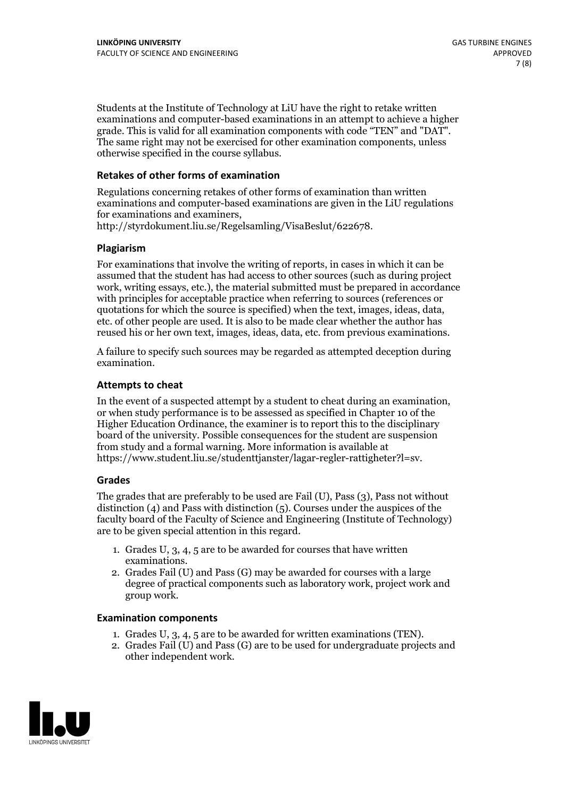Students at the Institute of Technology at LiU have the right to retake written examinations and computer-based examinations in an attempt to achieve a higher grade. This is valid for all examination components with code "TEN" and "DAT". The same right may not be exercised for other examination components, unless otherwise specified in the course syllabus.

### **Retakes of other forms of examination**

Regulations concerning retakes of other forms of examination than written examinations and computer-based examinations are given in the LiU regulations for examinations and examiners, http://styrdokument.liu.se/Regelsamling/VisaBeslut/622678.

### **Plagiarism**

For examinations that involve the writing of reports, in cases in which it can be assumed that the student has had access to other sources (such as during project work, writing essays, etc.), the material submitted must be prepared in accordance with principles for acceptable practice when referring to sources (references or quotations for which the source is specified) when the text, images, ideas, data, etc. of other people are used. It is also to be made clear whether the author has reused his or her own text, images, ideas, data, etc. from previous examinations.

A failure to specify such sources may be regarded as attempted deception during examination.

### **Attempts to cheat**

In the event of <sup>a</sup> suspected attempt by <sup>a</sup> student to cheat during an examination, or when study performance is to be assessed as specified in Chapter <sup>10</sup> of the Higher Education Ordinance, the examiner is to report this to the disciplinary board of the university. Possible consequences for the student are suspension from study and a formal warning. More information is available at https://www.student.liu.se/studenttjanster/lagar-regler-rattigheter?l=sv.

### **Grades**

The grades that are preferably to be used are Fail (U), Pass (3), Pass not without distinction  $(4)$  and Pass with distinction  $(5)$ . Courses under the auspices of the faculty board of the Faculty of Science and Engineering (Institute of Technology) are to be given special attention in this regard.

- 1. Grades U, 3, 4, 5 are to be awarded for courses that have written
- examinations. 2. Grades Fail (U) and Pass (G) may be awarded for courses with <sup>a</sup> large degree of practical components such as laboratory work, project work and group work.

### **Examination components**

- 
- 1. Grades U, 3, 4, <sup>5</sup> are to be awarded for written examinations (TEN). 2. Grades Fail (U) and Pass (G) are to be used for undergraduate projects and other independent work.